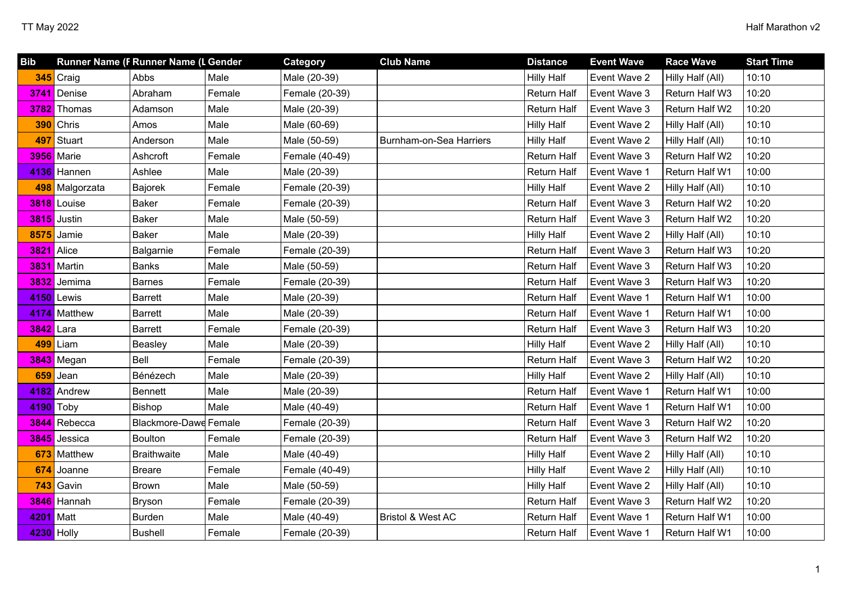| <b>Bib</b> |                | Runner Name (F Runner Name (L Gender |        | Category       | <b>Club Name</b>             | <b>Distance</b>    | <b>Event Wave</b> | <b>Race Wave</b>      | <b>Start Time</b> |
|------------|----------------|--------------------------------------|--------|----------------|------------------------------|--------------------|-------------------|-----------------------|-------------------|
|            | 345 Craig      | Abbs                                 | Male   | Male (20-39)   |                              | <b>Hilly Half</b>  | Event Wave 2      | Hilly Half (All)      | 10:10             |
|            | 3741 Denise    | Abraham                              | Female | Female (20-39) |                              | Return Half        | Event Wave 3      | Return Half W3        | 10:20             |
|            | 3782 Thomas    | Adamson                              | Male   | Male (20-39)   |                              | Return Half        | Event Wave 3      | Return Half W2        | 10:20             |
|            | 390 Chris      | Amos                                 | Male   | Male (60-69)   |                              | <b>Hilly Half</b>  | Event Wave 2      | Hilly Half (All)      | 10:10             |
|            | 497 Stuart     | Anderson                             | Male   | Male (50-59)   | Burnham-on-Sea Harriers      | <b>Hilly Half</b>  | Event Wave 2      | Hilly Half (All)      | 10:10             |
|            | 3956 Marie     | Ashcroft                             | Female | Female (40-49) |                              | Return Half        | Event Wave 3      | Return Half W2        | 10:20             |
|            | 4136 Hannen    | Ashlee                               | Male   | Male (20-39)   |                              | Return Half        | Event Wave 1      | Return Half W1        | 10:00             |
|            | 498 Malgorzata | <b>Bajorek</b>                       | Female | Female (20-39) |                              | <b>Hilly Half</b>  | Event Wave 2      | Hilly Half (All)      | 10:10             |
|            | 3818 Louise    | <b>Baker</b>                         | Female | Female (20-39) |                              | Return Half        | Event Wave 3      | Return Half W2        | 10:20             |
|            | 3815 Justin    | Baker                                | Male   | Male (50-59)   |                              | Return Half        | Event Wave 3      | Return Half W2        | 10:20             |
|            | 8575 Jamie     | <b>Baker</b>                         | Male   | Male (20-39)   |                              | <b>Hilly Half</b>  | Event Wave 2      | Hilly Half (All)      | 10:10             |
| 3821 Alice |                | Balgarnie                            | Female | Female (20-39) |                              | Return Half        | Event Wave 3      | Return Half W3        | 10:20             |
|            | 3831 Martin    | <b>Banks</b>                         | Male   | Male (50-59)   |                              | Return Half        | Event Wave 3      | Return Half W3        | 10:20             |
|            | 3832 Jemima    | <b>Barnes</b>                        | Female | Female (20-39) |                              | Return Half        | Event Wave 3      | Return Half W3        | 10:20             |
|            | 4150 Lewis     | <b>Barrett</b>                       | Male   | Male (20-39)   |                              | Return Half        | Event Wave 1      | Return Half W1        | 10:00             |
|            | 4174 Matthew   | <b>Barrett</b>                       | Male   | Male (20-39)   |                              | Return Half        | Event Wave 1      | <b>Return Half W1</b> | 10:00             |
| 3842       | Lara           | <b>Barrett</b>                       | Female | Female (20-39) |                              | Return Half        | Event Wave 3      | Return Half W3        | 10:20             |
|            | 499 Liam       | Beasley                              | Male   | Male (20-39)   |                              | <b>Hilly Half</b>  | Event Wave 2      | Hilly Half (All)      | 10:10             |
|            | 3843 Megan     | Bell                                 | Female | Female (20-39) |                              | Return Half        | Event Wave 3      | Return Half W2        | 10:20             |
| 659        | Jean           | Bénézech                             | Male   | Male (20-39)   |                              | <b>Hilly Half</b>  | Event Wave 2      | Hilly Half (All)      | 10:10             |
|            | 4182 Andrew    | <b>Bennett</b>                       | Male   | Male (20-39)   |                              | Return Half        | Event Wave 1      | Return Half W1        | 10:00             |
| 4190 Toby  |                | Bishop                               | Male   | Male (40-49)   |                              | Return Half        | Event Wave 1      | Return Half W1        | 10:00             |
|            | 3844 Rebecca   | Blackmore-Dawe Female                |        | Female (20-39) |                              | Return Half        | Event Wave 3      | Return Half W2        | 10:20             |
| 3845       | Jessica        | <b>Boulton</b>                       | Female | Female (20-39) |                              | Return Half        | Event Wave 3      | Return Half W2        | 10:20             |
|            | 673 Matthew    | <b>Braithwaite</b>                   | Male   | Male (40-49)   |                              | <b>Hilly Half</b>  | Event Wave 2      | Hilly Half (All)      | 10:10             |
| 674        | Joanne         | <b>Breare</b>                        | Female | Female (40-49) |                              | <b>Hilly Half</b>  | Event Wave 2      | Hilly Half (All)      | 10:10             |
|            | 743 Gavin      | <b>Brown</b>                         | Male   | Male (50-59)   |                              | <b>Hilly Half</b>  | Event Wave 2      | Hilly Half (All)      | 10:10             |
|            | 3846 Hannah    | <b>Bryson</b>                        | Female | Female (20-39) |                              | Return Half        | Event Wave 3      | Return Half W2        | 10:20             |
| 4201       | Matt           | <b>Burden</b>                        | Male   | Male (40-49)   | <b>Bristol &amp; West AC</b> | Return Half        | Event Wave 1      | Return Half W1        | 10:00             |
|            | 4230 Holly     | <b>Bushell</b>                       | Female | Female (20-39) |                              | <b>Return Half</b> | Event Wave 1      | Return Half W1        | 10:00             |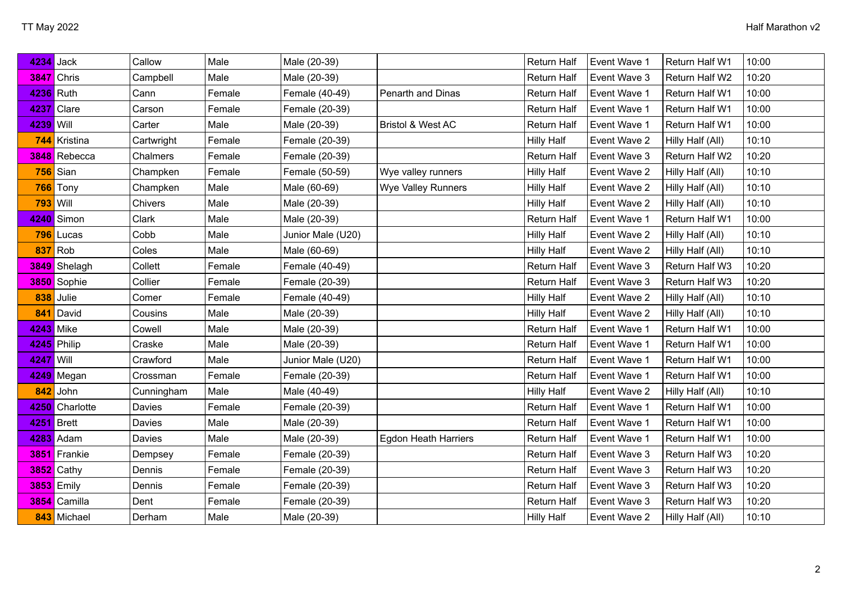| 4234 Jack         |                   | Callow     | Male   | Male (20-39)      |                              | <b>Return Half</b> | Event Wave 1 | Return Half W1   | 10:00 |
|-------------------|-------------------|------------|--------|-------------------|------------------------------|--------------------|--------------|------------------|-------|
|                   | <b>3847</b> Chris | Campbell   | Male   | Male (20-39)      |                              | <b>Return Half</b> | Event Wave 3 | Return Half W2   | 10:20 |
| 4236 Ruth         |                   | Cann       | Female | Female (40-49)    | Penarth and Dinas            | <b>Return Half</b> | Event Wave 1 | Return Half W1   | 10:00 |
|                   | 4237 Clare        | Carson     | Female | Female (20-39)    |                              | Return Half        | Event Wave 1 | Return Half W1   | 10:00 |
| 4239 Will         |                   | Carter     | Male   | Male (20-39)      | <b>Bristol &amp; West AC</b> | Return Half        | Event Wave 1 | Return Half W1   | 10:00 |
|                   | 744 Kristina      | Cartwright | Female | Female (20-39)    |                              | <b>Hilly Half</b>  | Event Wave 2 | Hilly Half (All) | 10:10 |
|                   | 3848 Rebecca      | Chalmers   | Female | Female (20-39)    |                              | Return Half        | Event Wave 3 | Return Half W2   | 10:20 |
|                   | 756 Sian          | Champken   | Female | Female (50-59)    | Wye valley runners           | <b>Hilly Half</b>  | Event Wave 2 | Hilly Half (All) | 10:10 |
| 766               | Tony              | Champken   | Male   | Male (60-69)      | <b>Wye Valley Runners</b>    | <b>Hilly Half</b>  | Event Wave 2 | Hilly Half (All) | 10:10 |
| <b>793 Will</b>   |                   | Chivers    | Male   | Male (20-39)      |                              | <b>Hilly Half</b>  | Event Wave 2 | Hilly Half (All) | 10:10 |
|                   | 4240 Simon        | Clark      | Male   | Male (20-39)      |                              | <b>Return Half</b> | Event Wave 1 | Return Half W1   | 10:00 |
|                   | 796 Lucas         | Cobb       | Male   | Junior Male (U20) |                              | <b>Hilly Half</b>  | Event Wave 2 | Hilly Half (All) | 10:10 |
|                   | 837 Rob           | Coles      | Male   | Male (60-69)      |                              | <b>Hilly Half</b>  | Event Wave 2 | Hilly Half (All) | 10:10 |
|                   | 3849 Shelagh      | Collett    | Female | Female (40-49)    |                              | <b>Return Half</b> | Event Wave 3 | Return Half W3   | 10:20 |
|                   | 3850 Sophie       | Collier    | Female | Female (20-39)    |                              | Return Half        | Event Wave 3 | Return Half W3   | 10:20 |
|                   | 838 Julie         | Comer      | Female | Female (40-49)    |                              | <b>Hilly Half</b>  | Event Wave 2 | Hilly Half (All) | 10:10 |
| 841               | David             | Cousins    | Male   | Male (20-39)      |                              | <b>Hilly Half</b>  | Event Wave 2 | Hilly Half (All) | 10:10 |
| <b>4243</b> Mike  |                   | Cowell     | Male   | Male (20-39)      |                              | <b>Return Half</b> | Event Wave 1 | Return Half W1   | 10:00 |
|                   | 4245 Philip       | Craske     | Male   | Male (20-39)      |                              | Return Half        | Event Wave 1 | Return Half W1   | 10:00 |
| 4247 Will         |                   | Crawford   | Male   | Junior Male (U20) |                              | <b>Return Half</b> | Event Wave 1 | Return Half W1   | 10:00 |
|                   | 4249 Megan        | Crossman   | Female | Female (20-39)    |                              | Return Half        | Event Wave 1 | Return Half W1   | 10:00 |
|                   | 842 John          | Cunningham | Male   | Male (40-49)      |                              | <b>Hilly Half</b>  | Event Wave 2 | Hilly Half (All) | 10:10 |
|                   | 4250 Charlotte    | Davies     | Female | Female (20-39)    |                              | <b>Return Half</b> | Event Wave 1 | Return Half W1   | 10:00 |
| <b>4251</b> Brett |                   | Davies     | Male   | Male (20-39)      |                              | Return Half        | Event Wave 1 | Return Half W1   | 10:00 |
|                   | 4283 Adam         | Davies     | Male   | Male (20-39)      | <b>Egdon Heath Harriers</b>  | <b>Return Half</b> | Event Wave 1 | Return Half W1   | 10:00 |
|                   | 3851 Frankie      | Dempsey    | Female | Female (20-39)    |                              | <b>Return Half</b> | Event Wave 3 | Return Half W3   | 10:20 |
|                   | 3852 Cathy        | Dennis     | Female | Female (20-39)    |                              | Return Half        | Event Wave 3 | Return Half W3   | 10:20 |
|                   | <b>3853</b> Emily | Dennis     | Female | Female (20-39)    |                              | Return Half        | Event Wave 3 | Return Half W3   | 10:20 |
|                   | 3854 Camilla      | Dent       | Female | Female (20-39)    |                              | <b>Return Half</b> | Event Wave 3 | Return Half W3   | 10:20 |
|                   | 843 Michael       | Derham     | Male   | Male (20-39)      |                              | <b>Hilly Half</b>  | Event Wave 2 | Hilly Half (All) | 10:10 |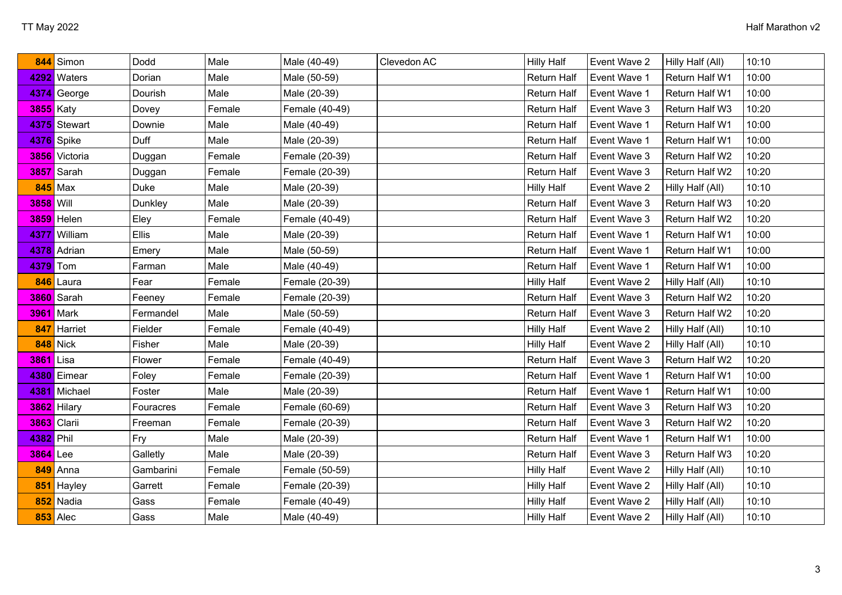| 844              | Simon             | Dodd      | Male   | Male (40-49)   | Clevedon AC | <b>Hilly Half</b>  | Event Wave 2 | Hilly Half (All) | 10:10 |
|------------------|-------------------|-----------|--------|----------------|-------------|--------------------|--------------|------------------|-------|
|                  | 4292 Waters       | Dorian    | Male   | Male (50-59)   |             | Return Half        | Event Wave 1 | Return Half W1   | 10:00 |
|                  | 4374 George       | Dourish   | Male   | Male (20-39)   |             | Return Half        | Event Wave 1 | Return Half W1   | 10:00 |
| <b>3855</b> Katy |                   | Dovey     | Female | Female (40-49) |             | Return Half        | Event Wave 3 | Return Half W3   | 10:20 |
|                  | 4375 Stewart      | Downie    | Male   | Male (40-49)   |             | Return Half        | Event Wave 1 | Return Half W1   | 10:00 |
|                  | 4376 Spike        | Duff      | Male   | Male (20-39)   |             | Return Half        | Event Wave 1 | Return Half W1   | 10:00 |
|                  | 3856 Victoria     | Duggan    | Female | Female (20-39) |             | Return Half        | Event Wave 3 | Return Half W2   | 10:20 |
|                  | 3857 Sarah        | Duggan    | Female | Female (20-39) |             | Return Half        | Event Wave 3 | Return Half W2   | 10:20 |
|                  | $845$ Max         | Duke      | Male   | Male (20-39)   |             | <b>Hilly Half</b>  | Event Wave 2 | Hilly Half (All) | 10:10 |
| 3858 Will        |                   | Dunkley   | Male   | Male (20-39)   |             | Return Half        | Event Wave 3 | Return Half W3   | 10:20 |
|                  | <b>3859</b> Helen | Eley      | Female | Female (40-49) |             | Return Half        | Event Wave 3 | Return Half W2   | 10:20 |
|                  | 4377 William      | Ellis     | Male   | Male (20-39)   |             | Return Half        | Event Wave 1 | Return Half W1   | 10:00 |
|                  | 4378 Adrian       | Emery     | Male   | Male (50-59)   |             | Return Half        | Event Wave 1 | Return Half W1   | 10:00 |
| 4379 Tom         |                   | Farman    | Male   | Male (40-49)   |             | Return Half        | Event Wave 1 | Return Half W1   | 10:00 |
|                  | 846 Laura         | Fear      | Female | Female (20-39) |             | <b>Hilly Half</b>  | Event Wave 2 | Hilly Half (All) | 10:10 |
|                  | 3860 Sarah        | Feeney    | Female | Female (20-39) |             | Return Half        | Event Wave 3 | Return Half W2   | 10:20 |
|                  | <b>3961</b> Mark  | Fermandel | Male   | Male (50-59)   |             | Return Half        | Event Wave 3 | Return Half W2   | 10:20 |
| 847              | Harriet           | Fielder   | Female | Female (40-49) |             | <b>Hilly Half</b>  | Event Wave 2 | Hilly Half (All) | 10:10 |
|                  | <b>848</b> Nick   | Fisher    | Male   | Male (20-39)   |             | <b>Hilly Half</b>  | Event Wave 2 | Hilly Half (All) | 10:10 |
| 3861 Lisa        |                   | Flower    | Female | Female (40-49) |             | Return Half        | Event Wave 3 | Return Half W2   | 10:20 |
|                  | 4380 Eimear       | Foley     | Female | Female (20-39) |             | Return Half        | Event Wave 1 | Return Half W1   | 10:00 |
|                  | 4381 Michael      | Foster    | Male   | Male (20-39)   |             | Return Half        | Event Wave 1 | Return Half W1   | 10:00 |
|                  | 3862 Hilary       | Fouracres | Female | Female (60-69) |             | <b>Return Half</b> | Event Wave 3 | Return Half W3   | 10:20 |
| 3863 Clarii      |                   | Freeman   | Female | Female (20-39) |             | Return Half        | Event Wave 3 | Return Half W2   | 10:20 |
| 4382 Phil        |                   | Fry       | Male   | Male (20-39)   |             | Return Half        | Event Wave 1 | Return Half W1   | 10:00 |
| <b>3864</b> Lee  |                   | Galletly  | Male   | Male (20-39)   |             | Return Half        | Event Wave 3 | Return Half W3   | 10:20 |
| 849              | Anna              | Gambarini | Female | Female (50-59) |             | <b>Hilly Half</b>  | Event Wave 2 | Hilly Half (All) | 10:10 |
| 851              | Hayley            | Garrett   | Female | Female (20-39) |             | <b>Hilly Half</b>  | Event Wave 2 | Hilly Half (All) | 10:10 |
| 852              | Nadia             | Gass      | Female | Female (40-49) |             | <b>Hilly Half</b>  | Event Wave 2 | Hilly Half (All) | 10:10 |
|                  | $853$ Alec        | Gass      | Male   | Male (40-49)   |             | <b>Hilly Half</b>  | Event Wave 2 | Hilly Half (All) | 10:10 |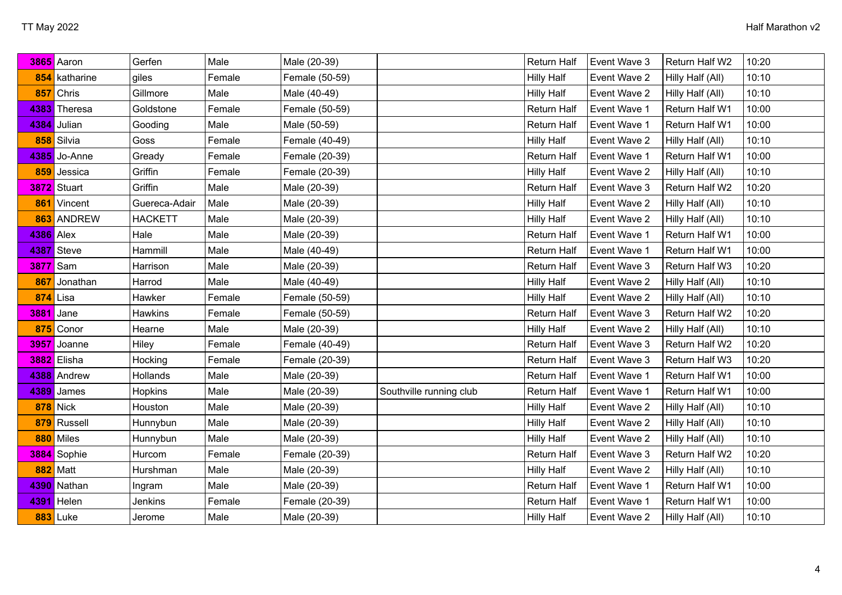|           | 3865 Aaron      | Gerfen         | Male   | Male (20-39)   |                         | Return Half        | Event Wave 3 | Return Half W2   | 10:20 |
|-----------|-----------------|----------------|--------|----------------|-------------------------|--------------------|--------------|------------------|-------|
|           | 854 katharine   | giles          | Female | Female (50-59) |                         | <b>Hilly Half</b>  | Event Wave 2 | Hilly Half (All) | 10:10 |
| 857       | Chris           | Gillmore       | Male   | Male (40-49)   |                         | <b>Hilly Half</b>  | Event Wave 2 | Hilly Half (All) | 10:10 |
|           | 4383 Theresa    | Goldstone      | Female | Female (50-59) |                         | Return Half        | Event Wave 1 | Return Half W1   | 10:00 |
| 4384      | Julian          | Gooding        | Male   | Male (50-59)   |                         | Return Half        | Event Wave 1 | Return Half W1   | 10:00 |
|           | 858 Silvia      | Goss           | Female | Female (40-49) |                         | <b>Hilly Half</b>  | Event Wave 2 | Hilly Half (All) | 10:10 |
| 4385      | Jo-Anne         | Gready         | Female | Female (20-39) |                         | Return Half        | Event Wave 1 | Return Half W1   | 10:00 |
|           | 859 Jessica     | Griffin        | Female | Female (20-39) |                         | <b>Hilly Half</b>  | Event Wave 2 | Hilly Half (All) | 10:10 |
|           | 3872 Stuart     | Griffin        | Male   | Male (20-39)   |                         | <b>Return Half</b> | Event Wave 3 | Return Half W2   | 10:20 |
|           | 861 Vincent     | Guereca-Adair  | Male   | Male (20-39)   |                         | <b>Hilly Half</b>  | Event Wave 2 | Hilly Half (All) | 10:10 |
|           | 863 ANDREW      | <b>HACKETT</b> | Male   | Male (20-39)   |                         | <b>Hilly Half</b>  | Event Wave 2 | Hilly Half (All) | 10:10 |
| 4386 Alex |                 | Hale           | Male   | Male (20-39)   |                         | Return Half        | Event Wave 1 | Return Half W1   | 10:00 |
|           | 4387 Steve      | Hammill        | Male   | Male (40-49)   |                         | Return Half        | Event Wave 1 | Return Half W1   | 10:00 |
| 3877 Sam  |                 | Harrison       | Male   | Male (20-39)   |                         | <b>Return Half</b> | Event Wave 3 | Return Half W3   | 10:20 |
| 867       | Jonathan        | Harrod         | Male   | Male (40-49)   |                         | <b>Hilly Half</b>  | Event Wave 2 | Hilly Half (All) | 10:10 |
|           | $874$ Lisa      | Hawker         | Female | Female (50-59) |                         | <b>Hilly Half</b>  | Event Wave 2 | Hilly Half (All) | 10:10 |
|           | 3881 Jane       | <b>Hawkins</b> | Female | Female (50-59) |                         | Return Half        | Event Wave 3 | Return Half W2   | 10:20 |
|           | 875 Conor       | Hearne         | Male   | Male (20-39)   |                         | <b>Hilly Half</b>  | Event Wave 2 | Hilly Half (All) | 10:10 |
| 3957      | Joanne          | Hiley          | Female | Female (40-49) |                         | Return Half        | Event Wave 3 | Return Half W2   | 10:20 |
|           | 3882 Elisha     | Hocking        | Female | Female (20-39) |                         | Return Half        | Event Wave 3 | Return Half W3   | 10:20 |
|           | 4388 Andrew     | Hollands       | Male   | Male (20-39)   |                         | Return Half        | Event Wave 1 | Return Half W1   | 10:00 |
| 4389      | James           | <b>Hopkins</b> | Male   | Male (20-39)   | Southville running club | <b>Return Half</b> | Event Wave 1 | Return Half W1   | 10:00 |
|           | <b>878</b> Nick | Houston        | Male   | Male (20-39)   |                         | <b>Hilly Half</b>  | Event Wave 2 | Hilly Half (All) | 10:10 |
|           | 879 Russell     | Hunnybun       | Male   | Male (20-39)   |                         | <b>Hilly Half</b>  | Event Wave 2 | Hilly Half (All) | 10:10 |
|           | 880 Miles       | Hunnybun       | Male   | Male (20-39)   |                         | <b>Hilly Half</b>  | Event Wave 2 | Hilly Half (All) | 10:10 |
|           | 3884 Sophie     | Hurcom         | Female | Female (20-39) |                         | Return Half        | Event Wave 3 | Return Half W2   | 10:20 |
|           | <b>882</b> Matt | Hurshman       | Male   | Male (20-39)   |                         | <b>Hilly Half</b>  | Event Wave 2 | Hilly Half (All) | 10:10 |
|           | 4390 Nathan     | Ingram         | Male   | Male (20-39)   |                         | Return Half        | Event Wave 1 | Return Half W1   | 10:00 |
| 4391      | Helen           | Jenkins        | Female | Female (20-39) |                         | <b>Return Half</b> | Event Wave 1 | Return Half W1   | 10:00 |
|           | 883 Luke        | Jerome         | Male   | Male (20-39)   |                         | <b>Hilly Half</b>  | Event Wave 2 | Hilly Half (All) | 10:10 |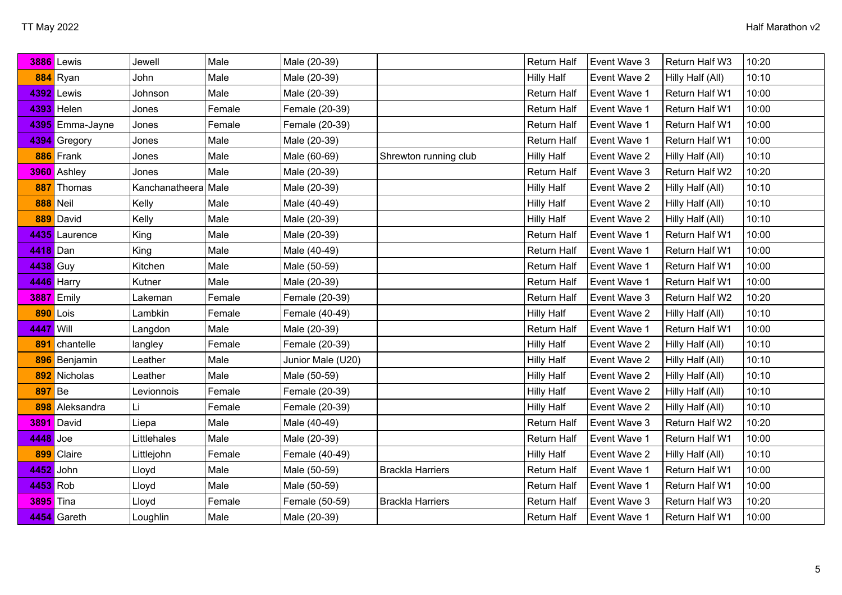|               | 3886 Lewis        | Jewell         | Male   | Male (20-39)      |                         | Return Half        | Event Wave 3 | Return Half W3   | 10:20 |
|---------------|-------------------|----------------|--------|-------------------|-------------------------|--------------------|--------------|------------------|-------|
|               | 884 Ryan          | John           | Male   | Male (20-39)      |                         | <b>Hilly Half</b>  | Event Wave 2 | Hilly Half (All) | 10:10 |
|               | 4392 Lewis        | Johnson        | Male   | Male (20-39)      |                         | Return Half        | Event Wave 1 | Return Half W1   | 10:00 |
|               | 4393 Helen        | Jones          | Female | Female (20-39)    |                         | Return Half        | Event Wave 1 | Return Half W1   | 10:00 |
|               | 4395 Emma-Jayne   | Jones          | Female | Female (20-39)    |                         | Return Half        | Event Wave 1 | Return Half W1   | 10:00 |
|               | 4394 Gregory      | Jones          | Male   | Male (20-39)      |                         | Return Half        | Event Wave 1 | Return Half W1   | 10:00 |
|               | 886 Frank         | Jones          | Male   | Male (60-69)      | Shrewton running club   | <b>Hilly Half</b>  | Event Wave 2 | Hilly Half (All) | 10:10 |
|               | 3960 Ashley       | Jones          | Male   | Male (20-39)      |                         | <b>Return Half</b> | Event Wave 3 | Return Half W2   | 10:20 |
| 887           | Thomas            | Kanchanatheera | Male   | Male (20-39)      |                         | <b>Hilly Half</b>  | Event Wave 2 | Hilly Half (All) | 10:10 |
|               | <b>888</b> Neil   | Kelly          | Male   | Male (40-49)      |                         | <b>Hilly Half</b>  | Event Wave 2 | Hilly Half (All) | 10:10 |
|               | 889 David         | Kelly          | Male   | Male (20-39)      |                         | <b>Hilly Half</b>  | Event Wave 2 | Hilly Half (All) | 10:10 |
|               | 4435 Laurence     | King           | Male   | Male (20-39)      |                         | Return Half        | Event Wave 1 | Return Half W1   | 10:00 |
| 4418 Dan      |                   | King           | Male   | Male (40-49)      |                         | <b>Return Half</b> | Event Wave 1 | Return Half W1   | 10:00 |
| 4438 Guy      |                   | Kitchen        | Male   | Male (50-59)      |                         | Return Half        | Event Wave 1 | Return Half W1   | 10:00 |
|               | 4446 Harry        | Kutner         | Male   | Male (20-39)      |                         | <b>Return Half</b> | Event Wave 1 | Return Half W1   | 10:00 |
|               | <b>3887</b> Emily | Lakeman        | Female | Female (20-39)    |                         | <b>Return Half</b> | Event Wave 3 | Return Half W2   | 10:20 |
|               | 890 Lois          | Lambkin        | Female | Female (40-49)    |                         | <b>Hilly Half</b>  | Event Wave 2 | Hilly Half (All) | 10:10 |
| 4447          | <b>Will</b>       | Langdon        | Male   | Male (20-39)      |                         | <b>Return Half</b> | Event Wave 1 | Return Half W1   | 10:00 |
| 891           | chantelle         | langley        | Female | Female (20-39)    |                         | <b>Hilly Half</b>  | Event Wave 2 | Hilly Half (All) | 10:10 |
|               | 896 Benjamin      | Leather        | Male   | Junior Male (U20) |                         | <b>Hilly Half</b>  | Event Wave 2 | Hilly Half (All) | 10:10 |
| 892           | Nicholas          | Leather        | Male   | Male (50-59)      |                         | <b>Hilly Half</b>  | Event Wave 2 | Hilly Half (All) | 10:10 |
| <b>897</b> Be |                   | Levionnois     | Female | Female (20-39)    |                         | <b>Hilly Half</b>  | Event Wave 2 | Hilly Half (All) | 10:10 |
|               | 898 Aleksandra    | Li             | Female | Female (20-39)    |                         | <b>Hilly Half</b>  | Event Wave 2 | Hilly Half (All) | 10:10 |
|               | 3891 David        | Liepa          | Male   | Male (40-49)      |                         | Return Half        | Event Wave 3 | Return Half W2   | 10:20 |
| 4448 Joe      |                   | Littlehales    | Male   | Male (20-39)      |                         | <b>Return Half</b> | Event Wave 1 | Return Half W1   | 10:00 |
| 899           | Claire            | Littlejohn     | Female | Female (40-49)    |                         | <b>Hilly Half</b>  | Event Wave 2 | Hilly Half (All) | 10:10 |
| 4452          | John              | Lloyd          | Male   | Male (50-59)      | <b>Brackla Harriers</b> | <b>Return Half</b> | Event Wave 1 | Return Half W1   | 10:00 |
| 4453 Rob      |                   | Lloyd          | Male   | Male (50-59)      |                         | Return Half        | Event Wave 1 | Return Half W1   | 10:00 |
| 3895 Tina     |                   | Lloyd          | Female | Female (50-59)    | <b>Brackla Harriers</b> | Return Half        | Event Wave 3 | Return Half W3   | 10:20 |
|               | 4454 Gareth       | Loughlin       | Male   | Male (20-39)      |                         | Return Half        | Event Wave 1 | Return Half W1   | 10:00 |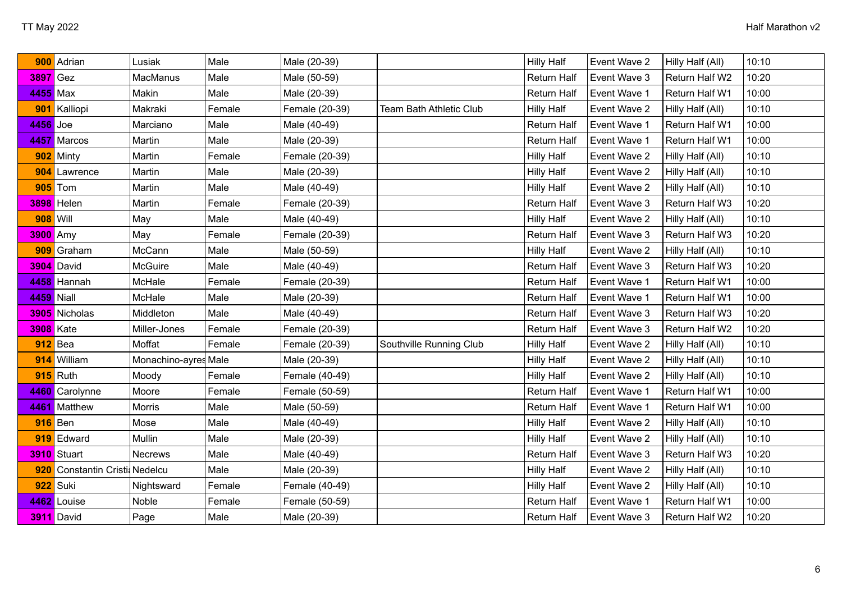| 900             | Adrian                    | Lusiak               | Male   | Male (20-39)   |                                | <b>Hilly Half</b>  | Event Wave 2 | Hilly Half (All) | 10:10 |
|-----------------|---------------------------|----------------------|--------|----------------|--------------------------------|--------------------|--------------|------------------|-------|
| $3897$ Gez      |                           | MacManus             | Male   | Male (50-59)   |                                | Return Half        | Event Wave 3 | Return Half W2   | 10:20 |
| 4455 Max        |                           | Makin                | Male   | Male (20-39)   |                                | Return Half        | Event Wave 1 | Return Half W1   | 10:00 |
| 901             | Kalliopi                  | Makraki              | Female | Female (20-39) | <b>Team Bath Athletic Club</b> | <b>Hilly Half</b>  | Event Wave 2 | Hilly Half (All) | 10:10 |
| 4456            | Joe                       | Marciano             | Male   | Male (40-49)   |                                | Return Half        | Event Wave 1 | Return Half W1   | 10:00 |
| 4457            | Marcos                    | Martin               | Male   | Male (20-39)   |                                | Return Half        | Event Wave 1 | Return Half W1   | 10:00 |
|                 | 902 Minty                 | Martin               | Female | Female (20-39) |                                | <b>Hilly Half</b>  | Event Wave 2 | Hilly Half (All) | 10:10 |
|                 | 904 Lawrence              | Martin               | Male   | Male (20-39)   |                                | <b>Hilly Half</b>  | Event Wave 2 | Hilly Half (All) | 10:10 |
|                 | $905$ Tom                 | Martin               | Male   | Male (40-49)   |                                | <b>Hilly Half</b>  | Event Wave 2 | Hilly Half (All) | 10:10 |
|                 | 3898 Helen                | Martin               | Female | Female (20-39) |                                | Return Half        | Event Wave 3 | Return Half W3   | 10:20 |
| <b>908 Will</b> |                           | May                  | Male   | Male (40-49)   |                                | <b>Hilly Half</b>  | Event Wave 2 | Hilly Half (All) | 10:10 |
| 3900 Amy        |                           | May                  | Female | Female (20-39) |                                | Return Half        | Event Wave 3 | Return Half W3   | 10:20 |
|                 | 909 Graham                | McCann               | Male   | Male (50-59)   |                                | <b>Hilly Half</b>  | Event Wave 2 | Hilly Half (All) | 10:10 |
|                 | 3904 David                | McGuire              | Male   | Male (40-49)   |                                | Return Half        | Event Wave 3 | Return Half W3   | 10:20 |
|                 | 4458 Hannah               | McHale               | Female | Female (20-39) |                                | Return Half        | Event Wave 1 | Return Half W1   | 10:00 |
| 4459 Niall      |                           | McHale               | Male   | Male (20-39)   |                                | Return Half        | Event Wave 1 | Return Half W1   | 10:00 |
|                 | 3905 Nicholas             | Middleton            | Male   | Male (40-49)   |                                | Return Half        | Event Wave 3 | Return Half W3   | 10:20 |
| 3908 Kate       |                           | Miller-Jones         | Female | Female (20-39) |                                | Return Half        | Event Wave 3 | Return Half W2   | 10:20 |
| 912             | Bea                       | Moffat               | Female | Female (20-39) | Southville Running Club        | <b>Hilly Half</b>  | Event Wave 2 | Hilly Half (All) | 10:10 |
| 914             | William                   | Monachino-ayres Male |        | Male (20-39)   |                                | <b>Hilly Half</b>  | Event Wave 2 | Hilly Half (All) | 10:10 |
|                 | $915$ Ruth                | Moody                | Female | Female (40-49) |                                | <b>Hilly Half</b>  | Event Wave 2 | Hilly Half (All) | 10:10 |
|                 | 4460 Carolynne            | Moore                | Female | Female (50-59) |                                | Return Half        | Event Wave 1 | Return Half W1   | 10:00 |
| 4461            | Matthew                   | <b>Morris</b>        | Male   | Male (50-59)   |                                | Return Half        | Event Wave 1 | Return Half W1   | 10:00 |
| $916$ Ben       |                           | Mose                 | Male   | Male (40-49)   |                                | <b>Hilly Half</b>  | Event Wave 2 | Hilly Half (All) | 10:10 |
|                 | 919 Edward                | Mullin               | Male   | Male (20-39)   |                                | <b>Hilly Half</b>  | Event Wave 2 | Hilly Half (All) | 10:10 |
|                 | 3910 Stuart               | Necrews              | Male   | Male (40-49)   |                                | <b>Return Half</b> | Event Wave 3 | Return Half W3   | 10:20 |
| 920             | Constantin Cristi Nedelcu |                      | Male   | Male (20-39)   |                                | <b>Hilly Half</b>  | Event Wave 2 | Hilly Half (All) | 10:10 |
| 922             | Suki                      | Nightsward           | Female | Female (40-49) |                                | <b>Hilly Half</b>  | Event Wave 2 | Hilly Half (All) | 10:10 |
|                 | 4462 Louise               | Noble                | Female | Female (50-59) |                                | Return Half        | Event Wave 1 | Return Half W1   | 10:00 |
|                 | 3911 David                | Page                 | Male   | Male (20-39)   |                                | Return Half        | Event Wave 3 | Return Half W2   | 10:20 |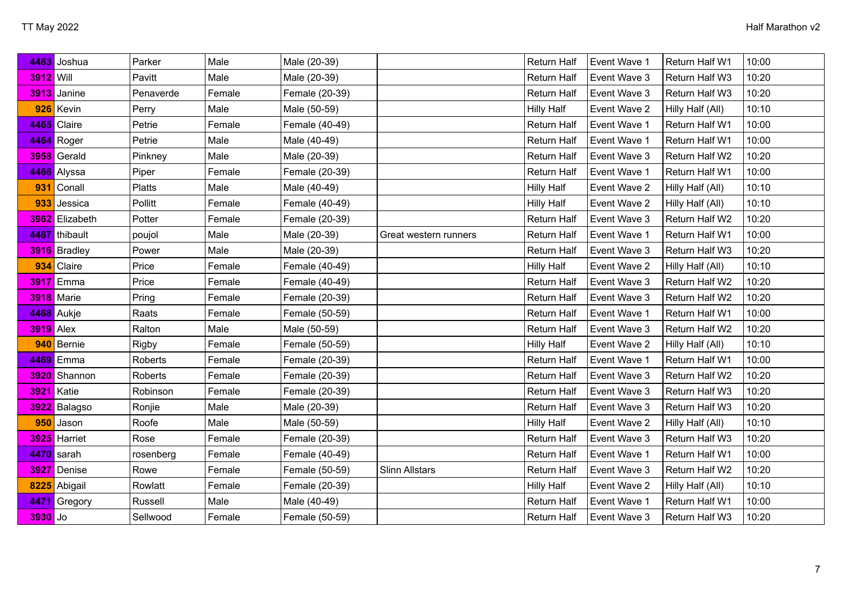| 4463             | Joshua            | Parker        | Male   | Male (20-39)   |                       | Return Half        | Event Wave 1 | Return Half W1   | 10:00 |
|------------------|-------------------|---------------|--------|----------------|-----------------------|--------------------|--------------|------------------|-------|
| <b>3912</b> Will |                   | Pavitt        | Male   | Male (20-39)   |                       | Return Half        | Event Wave 3 | Return Half W3   | 10:20 |
| 3913             | Janine            | Penaverde     | Female | Female (20-39) |                       | Return Half        | Event Wave 3 | Return Half W3   | 10:20 |
| 926              | Kevin             | Perry         | Male   | Male (50-59)   |                       | <b>Hilly Half</b>  | Event Wave 2 | Hilly Half (All) | 10:10 |
|                  | 4465 Claire       | Petrie        | Female | Female (40-49) |                       | Return Half        | Event Wave 1 | Return Half W1   | 10:00 |
|                  | 4464 Roger        | Petrie        | Male   | Male (40-49)   |                       | Return Half        | Event Wave 1 | Return Half W1   | 10:00 |
|                  | 3958 Gerald       | Pinkney       | Male   | Male (20-39)   |                       | Return Half        | Event Wave 3 | Return Half W2   | 10:20 |
|                  | 4466 Alyssa       | Piper         | Female | Female (20-39) |                       | Return Half        | Event Wave 1 | Return Half W1   | 10:00 |
| 931              | Conall            | <b>Platts</b> | Male   | Male (40-49)   |                       | <b>Hilly Half</b>  | Event Wave 2 | Hilly Half (All) | 10:10 |
| 933              | Jessica           | Pollitt       | Female | Female (40-49) |                       | <b>Hilly Half</b>  | Event Wave 2 | Hilly Half (All) | 10:10 |
|                  | 3962 Elizabeth    | Potter        | Female | Female (20-39) |                       | Return Half        | Event Wave 3 | Return Half W2   | 10:20 |
|                  | 4467 thibault     | poujol        | Male   | Male (20-39)   | Great western runners | Return Half        | Event Wave 1 | Return Half W1   | 10:00 |
|                  | 3916 Bradley      | Power         | Male   | Male (20-39)   |                       | Return Half        | Event Wave 3 | Return Half W3   | 10:20 |
|                  | 934 Claire        | Price         | Female | Female (40-49) |                       | <b>Hilly Half</b>  | Event Wave 2 | Hilly Half (All) | 10:10 |
|                  | <b>3917</b> Emma  | Price         | Female | Female (40-49) |                       | Return Half        | Event Wave 3 | Return Half W2   | 10:20 |
|                  | <b>3918</b> Marie | Pring         | Female | Female (20-39) |                       | <b>Return Half</b> | Event Wave 3 | Return Half W2   | 10:20 |
|                  | 4468 Aukje        | Raats         | Female | Female (50-59) |                       | Return Half        | Event Wave 1 | Return Half W1   | 10:00 |
| $3919$ Alex      |                   | Ralton        | Male   | Male (50-59)   |                       | Return Half        | Event Wave 3 | Return Half W2   | 10:20 |
| 940              | Bernie            | Rigby         | Female | Female (50-59) |                       | <b>Hilly Half</b>  | Event Wave 2 | Hilly Half (All) | 10:10 |
|                  | 4469 Emma         | Roberts       | Female | Female (20-39) |                       | Return Half        | Event Wave 1 | Return Half W1   | 10:00 |
|                  | 3920 Shannon      | Roberts       | Female | Female (20-39) |                       | Return Half        | Event Wave 3 | Return Half W2   | 10:20 |
|                  | 3921 Katie        | Robinson      | Female | Female (20-39) |                       | Return Half        | Event Wave 3 | Return Half W3   | 10:20 |
|                  | 3922 Balagso      | Ronjie        | Male   | Male (20-39)   |                       | Return Half        | Event Wave 3 | Return Half W3   | 10:20 |
| 950              | Jason             | Roofe         | Male   | Male (50-59)   |                       | <b>Hilly Half</b>  | Event Wave 2 | Hilly Half (All) | 10:10 |
|                  | 3925 Harriet      | Rose          | Female | Female (20-39) |                       | <b>Return Half</b> | Event Wave 3 | Return Half W3   | 10:20 |
|                  | 4470 sarah        | rosenberg     | Female | Female (40-49) |                       | <b>Return Half</b> | Event Wave 1 | Return Half W1   | 10:00 |
| 3927             | Denise            | Rowe          | Female | Female (50-59) | <b>Slinn Allstars</b> | <b>Return Half</b> | Event Wave 3 | Return Half W2   | 10:20 |
| 8225             | Abigail           | Rowlatt       | Female | Female (20-39) |                       | <b>Hilly Half</b>  | Event Wave 2 | Hilly Half (All) | 10:10 |
| 4471             | Gregory           | Russell       | Male   | Male (40-49)   |                       | Return Half        | Event Wave 1 | Return Half W1   | 10:00 |
| $3930$ Jo        |                   | Sellwood      | Female | Female (50-59) |                       | Return Half        | Event Wave 3 | Return Half W3   | 10:20 |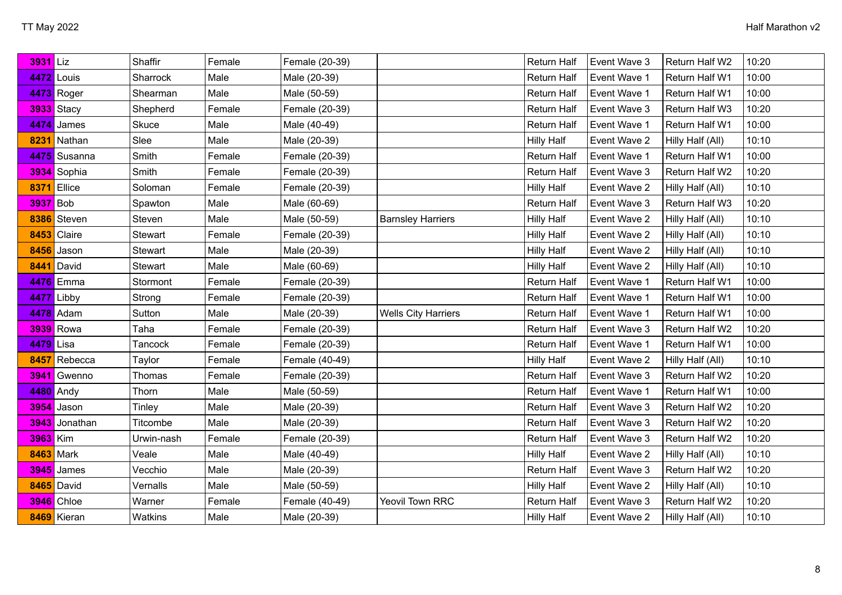| 3931 Liz         |                    | Shaffir    | Female | Female (20-39) |                            | Return Half        | Event Wave 3 | Return Half W2   | 10:20 |
|------------------|--------------------|------------|--------|----------------|----------------------------|--------------------|--------------|------------------|-------|
|                  | <b>4472</b> Louis  | Sharrock   | Male   | Male (20-39)   |                            | Return Half        | Event Wave 1 | Return Half W1   | 10:00 |
|                  | <b>4473</b> Roger  | Shearman   | Male   | Male (50-59)   |                            | Return Half        | Event Wave 1 | Return Half W1   | 10:00 |
|                  | <b>3933</b> Stacy  | Shepherd   | Female | Female (20-39) |                            | Return Half        | Event Wave 3 | Return Half W3   | 10:20 |
|                  | 4474 James         | Skuce      | Male   | Male (40-49)   |                            | Return Half        | Event Wave 1 | Return Half W1   | 10:00 |
|                  | 8231 Nathan        | Slee       | Male   | Male (20-39)   |                            | <b>Hilly Half</b>  | Event Wave 2 | Hilly Half (All) | 10:10 |
|                  | 4475 Susanna       | Smith      | Female | Female (20-39) |                            | Return Half        | Event Wave 1 | Return Half W1   | 10:00 |
|                  | 3934 Sophia        | Smith      | Female | Female (20-39) |                            | <b>Return Half</b> | Event Wave 3 | Return Half W2   | 10:20 |
|                  | <b>8371</b> Ellice | Soloman    | Female | Female (20-39) |                            | <b>Hilly Half</b>  | Event Wave 2 | Hilly Half (All) | 10:10 |
| 3937 Bob         |                    | Spawton    | Male   | Male (60-69)   |                            | <b>Return Half</b> | Event Wave 3 | Return Half W3   | 10:20 |
|                  | 8386 Steven        | Steven     | Male   | Male (50-59)   | <b>Barnsley Harriers</b>   | <b>Hilly Half</b>  | Event Wave 2 | Hilly Half (All) | 10:10 |
|                  | 8453 Claire        | Stewart    | Female | Female (20-39) |                            | <b>Hilly Half</b>  | Event Wave 2 | Hilly Half (All) | 10:10 |
|                  | 8456 Jason         | Stewart    | Male   | Male (20-39)   |                            | <b>Hilly Half</b>  | Event Wave 2 | Hilly Half (All) | 10:10 |
| 8441             | David              | Stewart    | Male   | Male (60-69)   |                            | <b>Hilly Half</b>  | Event Wave 2 | Hilly Half (All) | 10:10 |
|                  | 4476 Emma          | Stormont   | Female | Female (20-39) |                            | <b>Return Half</b> | Event Wave 1 | Return Half W1   | 10:00 |
|                  | <b>4477</b> Libby  | Strong     | Female | Female (20-39) |                            | <b>Return Half</b> | Event Wave 1 | Return Half W1   | 10:00 |
|                  | 4478 Adam          | Sutton     | Male   | Male (20-39)   | <b>Wells City Harriers</b> | <b>Return Half</b> | Event Wave 1 | Return Half W1   | 10:00 |
|                  | <b>3939</b> Rowa   | Taha       | Female | Female (20-39) |                            | <b>Return Half</b> | Event Wave 3 | Return Half W2   | 10:20 |
| 4479 Lisa        |                    | Tancock    | Female | Female (20-39) |                            | <b>Return Half</b> | Event Wave 1 | Return Half W1   | 10:00 |
|                  | 8457 Rebecca       | Taylor     | Female | Female (40-49) |                            | <b>Hilly Half</b>  | Event Wave 2 | Hilly Half (All) | 10:10 |
|                  | 3941 Gwenno        | Thomas     | Female | Female (20-39) |                            | <b>Return Half</b> | Event Wave 3 | Return Half W2   | 10:20 |
|                  | 4480 Andy          | Thorn      | Male   | Male (50-59)   |                            | Return Half        | Event Wave 1 | Return Half W1   | 10:00 |
|                  | 3954 Jason         | Tinley     | Male   | Male (20-39)   |                            | Return Half        | Event Wave 3 | Return Half W2   | 10:20 |
|                  | 3943 Jonathan      | Titcombe   | Male   | Male (20-39)   |                            | Return Half        | Event Wave 3 | Return Half W2   | 10:20 |
| 3963 Kim         |                    | Urwin-nash | Female | Female (20-39) |                            | Return Half        | Event Wave 3 | Return Half W2   | 10:20 |
| <b>8463</b> Mark |                    | Veale      | Male   | Male (40-49)   |                            | <b>Hilly Half</b>  | Event Wave 2 | Hilly Half (All) | 10:10 |
|                  | 3945 James         | Vecchio    | Male   | Male (20-39)   |                            | Return Half        | Event Wave 3 | Return Half W2   | 10:20 |
|                  | 8465 David         | Vernalls   | Male   | Male (50-59)   |                            | <b>Hilly Half</b>  | Event Wave 2 | Hilly Half (All) | 10:10 |
|                  | <b>3946</b> Chloe  | Warner     | Female | Female (40-49) | Yeovil Town RRC            | Return Half        | Event Wave 3 | Return Half W2   | 10:20 |
|                  | 8469 Kieran        | Watkins    | Male   | Male (20-39)   |                            | <b>Hilly Half</b>  | Event Wave 2 | Hilly Half (All) | 10:10 |